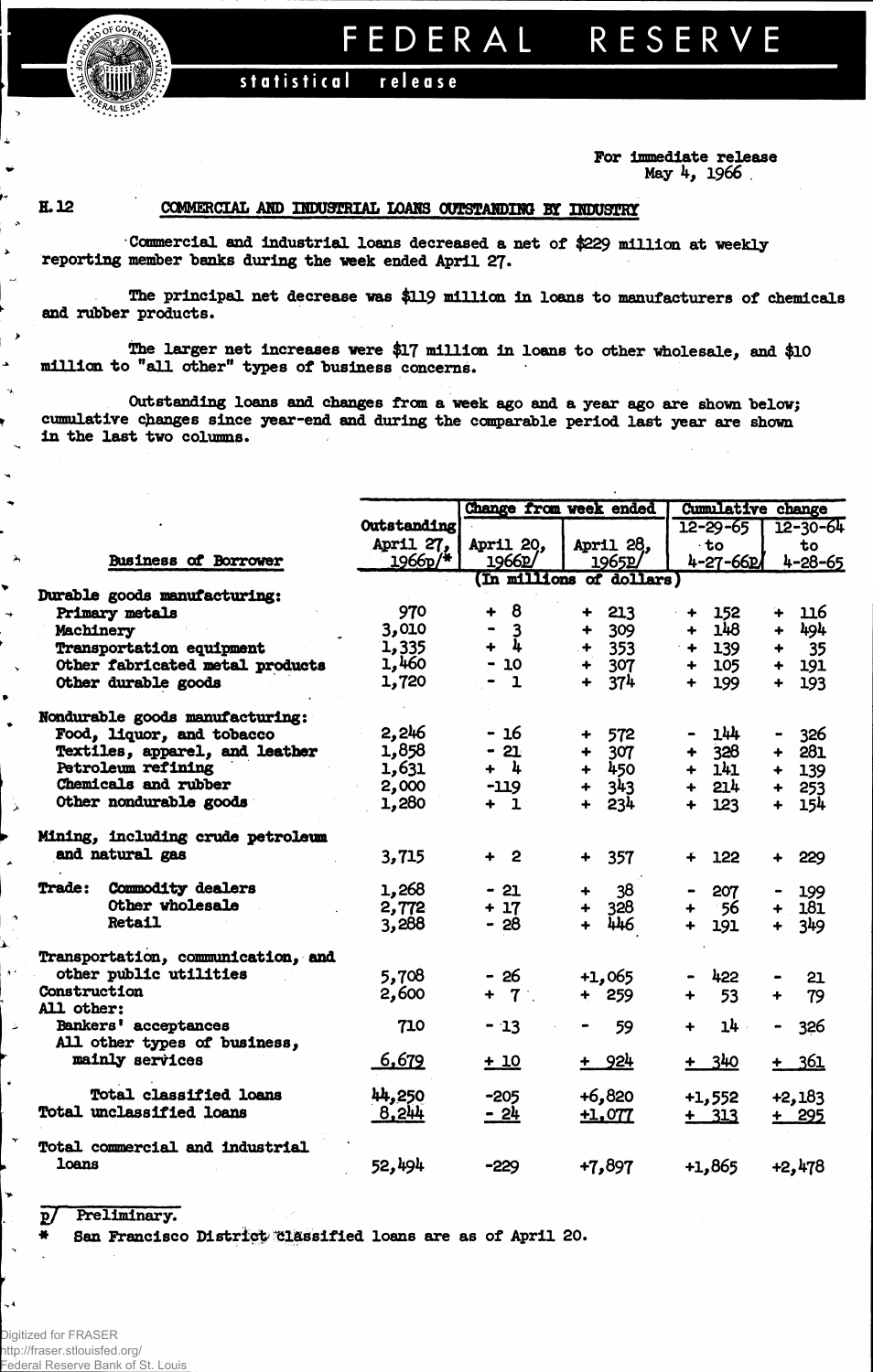**FEDERA L RESERV E** 

**iiiii statistical release**

## **For Immediate release May 4, 1966 .**

 $\lambda$ 

 $\bar{\mathbf{z}}$ 

 $\rightarrow$ l. ä.  $\sim$ j.

 $\ddot{\phantom{0}}$ 

۰

 $\bullet$ 

્ર

 $\lambda$ 

À.

 $\ddotsc$ 

\* *f^AL*

## **H.** 12 **COMMERCIAL AND INDUSTRIAL LOAMS OUTSTANDING BY INDUSTRY**

**Commercial and Industrial loans decreased a net of \$229 million at weekly reporting member "banks during the week ended April** *2J.*

**The principal net decrease was \$119 million in loans to manufacturers of chemicals and rubber products.**

**The larger net increases were \$17 million in loans to other wholesale, and \$10 million to "all other" types of business concerns.**

**Outstanding loans and changes from a week ago and a year ago are shown "below; cumulative changes since year-end and during the comparable period last year are shown in the last two columns.**

|                                           |             | Change from week ended                    |                             | <b>Cumulative change</b>    |                             |  |
|-------------------------------------------|-------------|-------------------------------------------|-----------------------------|-----------------------------|-----------------------------|--|
|                                           | Outstanding |                                           |                             | $12 - 29 - 65$              | $12 - 30 - 64$              |  |
|                                           | April 27,   | April 20.                                 | April 28.                   | $\cdot$ to                  | to                          |  |
| <b>Business of Borrower</b>               | $1966p/*$   | 1966p/                                    | 1965p                       | 4-27-66P                    | 4-28-65                     |  |
|                                           |             |                                           | (In millions of dollars)    |                             |                             |  |
| Durable goods manufacturing:              |             |                                           |                             |                             |                             |  |
| Primary metals                            | 970         | 8<br>┿                                    | 213<br>÷                    | 152<br>۰                    | 116<br>∔                    |  |
| Machinery                                 | 3,010       | $\overline{\mathbf{3}}$<br>$\blacksquare$ | 309<br>$\ddot{\phantom{1}}$ | 148<br>$\ddotmark$          | 494<br>$\ddotmark$          |  |
| Transportation equipment                  | 1,335       | $+ 4$                                     | $+ 353$                     | 139<br>$+$                  | 35                          |  |
| Other fabricated metal products           | 1,460       | $-10$                                     | 307<br>$\ddotmark$          | 105<br>$\ddot{\phantom{1}}$ | 191<br>$\ddot{\phantom{1}}$ |  |
| Other durable goods                       | 1,720       | $\mathbf{1}$<br>$\bullet$                 | $+ 374$                     | 199<br>$\ddotmark$          | 193<br>$\ddot{\phantom{1}}$ |  |
| Nondurable goods manufacturing:           |             |                                           |                             |                             |                             |  |
| Food, liquor, and tobacco                 | 2,246       | - 16                                      | 572<br>┿                    | 144                         | 326                         |  |
| Textiles, apparel, and leather            | 1,858       | $-21$                                     | 307<br>+                    | 328<br>$\ddotmark$          | 281<br>╋                    |  |
| Petroleum refining                        | 1,631       | + 4                                       | 450<br>$+$                  | 141<br>$\ddot{\phantom{1}}$ | 139<br>$+$                  |  |
| Chemicals and rubber                      | 2,000       | $-119$                                    | 343<br>$\ddotmark$          | 214<br>$\ddot{\phantom{1}}$ | 253<br>$+$                  |  |
| Other nondurable goods                    | 1,280       | $+1$                                      | 234<br>$+$                  | 123<br>╇                    | 154<br>$\ddot{\phantom{1}}$ |  |
| Mining, including crude petroleum         |             |                                           |                             |                             |                             |  |
| and natural gas                           | 3,715       | $+2$                                      | 357<br>$\ddotmark$          | 122<br>╇                    | 229                         |  |
| <b>Trade:</b><br><b>Commodity dealers</b> | 1,268       | $-21$                                     | 38<br>$\ddot{\phantom{1}}$  | 207                         | 199                         |  |
| Other wholesale                           | 2,772       | $+17$                                     | 328<br>$+$                  | - 56<br>$\ddotmark$         | 181<br>$\ddot{\phantom{1}}$ |  |
| <b>Retail</b>                             | 3,288       | $-28$                                     | 446<br>$+$                  | 191<br>$\ddot{\bullet}$     | $+ 349$                     |  |
| Transportation, communication, and        |             |                                           |                             |                             |                             |  |
| other public utilities                    | 5,708       | - 26                                      | $+1,065$                    | 422                         | 21                          |  |
| Construction<br>All other:                | 2,600       | $+ 7$                                     | $+ 259$                     | 53<br>$\ddotmark$           | 79<br>$\ddot{\phantom{1}}$  |  |
| Bankers' acceptances                      | 710         | $-13$                                     | 59                          | 14<br>$\ddot{\phantom{1}}$  | 326<br>$\blacksquare$       |  |
| All other types of business,              |             |                                           |                             |                             |                             |  |
| mainly services                           | 6,679       | $+10$                                     | + 924                       | $+ 340$                     | $+ 361$                     |  |
| <b>Total classified loans</b>             | 44,250      | $-205$                                    | $+6,820$                    | $+1,552$                    | $+2,183$                    |  |
| Total unclassified loans                  | 8,244       | $-24$                                     | +1,077                      | $+ 313$                     | $+ 295$                     |  |
| Total commercial and industrial           |             |                                           |                             |                             |                             |  |
| loans                                     | 52,494      | $-229$                                    | $+7,897$                    | $+1,865$                    | $+2,478$                    |  |

## **2/ Preliminary.**

**\* San Francisco District 'Classified loans are as of April 20.**